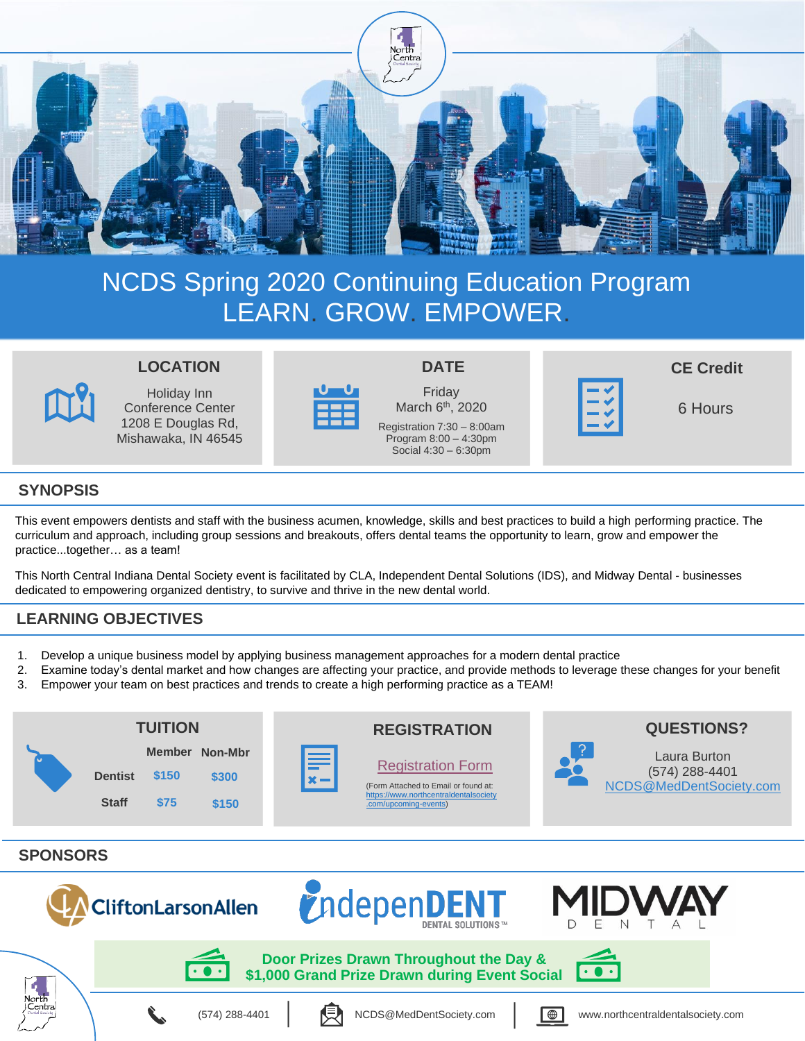

# NCDS Spring 2020 Continuing Education Program LEARN. GROW. EMPOWER.

### **LOCATION**



Holiday Inn Conference Center 1208 E Douglas Rd, Mishawaka, IN 46545



## **DATE** Friday

March 6<sup>th</sup>, 2020 Registration 7:30 – 8:00am Program 8:00 – 4:30pm Social 4:30 – 6:30pm

## **CE Credit**



6 Hours

## **SYNOPSIS**

This event empowers dentists and staff with the business acumen, knowledge, skills and best practices to build a high performing practice. The curriculum and approach, including group sessions and breakouts, offers dental teams the opportunity to learn, grow and empower the practice...together… as a team!

This North Central Indiana Dental Society event is facilitated by CLA, Independent Dental Solutions (IDS), and Midway Dental - businesses dedicated to empowering organized dentistry, to survive and thrive in the new dental world.

## **LEARNING OBJECTIVES**

- 1. Develop a unique business model by applying business management approaches for a modern dental practice
- 2. Examine today's dental market and how changes are affecting your practice, and provide methods to leverage these changes for your benefit
- 3. Empower your team on best practices and trends to create a high performing practice as a TEAM!

| <b>CliftonLarsonAllen</b>                                                                 | <i><b>YndepenDENT</b></i>                                                                                                                              |                                                           |
|-------------------------------------------------------------------------------------------|--------------------------------------------------------------------------------------------------------------------------------------------------------|-----------------------------------------------------------|
| <b>SPONSORS</b>                                                                           |                                                                                                                                                        |                                                           |
| Member Non-Mbr<br>ΙO<br>\$150<br><b>Dentist</b><br>\$300<br>\$75<br><b>Staff</b><br>\$150 | <b>Registration Form</b><br>$4X \rightarrow$<br>(Form Attached to Email or found at:<br>https://www.northcentraldentalsociety<br>.com/upcoming-events) | Laura Burton<br>(574) 288-4401<br>NCDS@MedDentSociety.com |
| <b>TUITION</b>                                                                            | <b>REGISTRATION</b>                                                                                                                                    | <b>QUESTIONS?</b>                                         |
|                                                                                           |                                                                                                                                                        |                                                           |













 $(574)$  288-4401  $\Box$  NCDS@MedDentSociety.com



www.northcentraldentalsociety.com